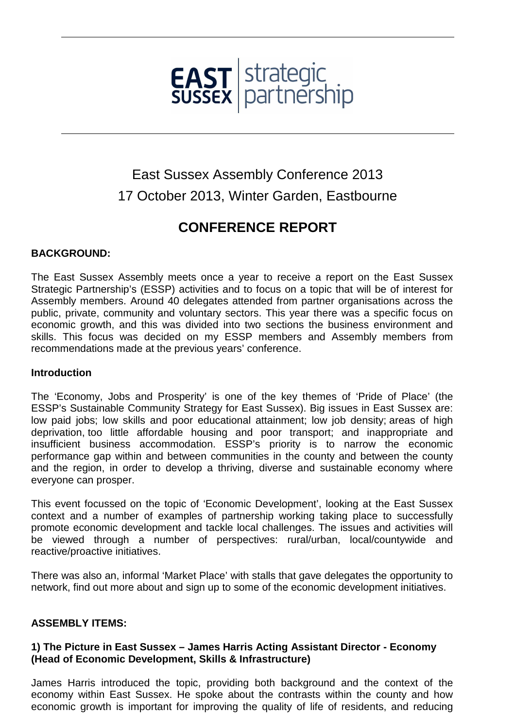

# East Sussex Assembly Conference 2013 17 October 2013, Winter Garden, Eastbourne

## **CONFERENCE REPORT**

## **BACKGROUND:**

The East Sussex Assembly meets once a year to receive a report on the East Sussex Strategic Partnership's (ESSP) activities and to focus on a topic that will be of interest for Assembly members. Around 40 delegates attended from partner organisations across the public, private, community and voluntary sectors. This year there was a specific focus on economic growth, and this was divided into two sections the business environment and skills. This focus was decided on my ESSP members and Assembly members from recommendations made at the previous years' conference.

#### **Introduction**

The 'Economy, Jobs and Prosperity' is one of the key themes of 'Pride of Place' (the ESSP's Sustainable Community Strategy for East Sussex). Big issues in East Sussex are: low paid jobs; low skills and poor educational attainment; low job density; areas of high deprivation, too little affordable housing and poor transport; and inappropriate and insufficient business accommodation. ESSP's priority is to narrow the economic performance gap within and between communities in the county and between the county and the region, in order to develop a thriving, diverse and sustainable economy where everyone can prosper.

This event focussed on the topic of 'Economic Development', looking at the East Sussex context and a number of examples of partnership working taking place to successfully promote economic development and tackle local challenges. The issues and activities will be viewed through a number of perspectives: rural/urban, local/countywide and reactive/proactive initiatives.

There was also an, informal 'Market Place' with stalls that gave delegates the opportunity to network, find out more about and sign up to some of the economic development initiatives.

## **ASSEMBLY ITEMS:**

## **1) The Picture in East Sussex – James Harris Acting Assistant Director - Economy (Head of Economic Development, Skills & Infrastructure)**

James Harris introduced the topic, providing both background and the context of the economy within East Sussex. He spoke about the contrasts within the county and how economic growth is important for improving the quality of life of residents, and reducing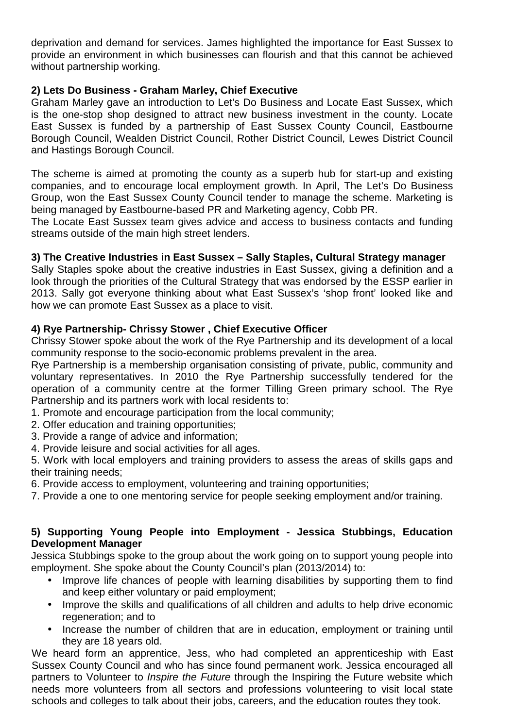deprivation and demand for services. James highlighted the importance for East Sussex to provide an environment in which businesses can flourish and that this cannot be achieved without partnership working.

## **2) Lets Do Business - Graham Marley, Chief Executive**

Graham Marley gave an introduction to Let's Do Business and Locate East Sussex, which is the one-stop shop designed to attract new business investment in the county. Locate East Sussex is funded by a partnership of East Sussex County Council, Eastbourne Borough Council, Wealden District Council, Rother District Council, Lewes District Council and Hastings Borough Council.

The scheme is aimed at promoting the county as a superb hub for start-up and existing companies, and to encourage local employment growth. In April, The Let's Do Business Group, won the East Sussex County Council tender to manage the scheme. Marketing is being managed by Eastbourne-based PR and Marketing agency, Cobb PR.

The Locate East Sussex team gives advice and access to business contacts and funding streams outside of the main high street lenders.

#### **3) The Creative Industries in East Sussex – Sally Staples, Cultural Strategy manager**

Sally Staples spoke about the creative industries in East Sussex, giving a definition and a look through the priorities of the Cultural Strategy that was endorsed by the ESSP earlier in 2013. Sally got everyone thinking about what East Sussex's 'shop front' looked like and how we can promote East Sussex as a place to visit.

## **4) Rye Partnership- Chrissy Stower , Chief Executive Officer**

Chrissy Stower spoke about the work of the Rye Partnership and its development of a local community response to the socio-economic problems prevalent in the area.

Rye Partnership is a membership organisation consisting of private, public, community and voluntary representatives. In 2010 the Rye Partnership successfully tendered for the operation of a community centre at the former Tilling Green primary school. The Rye Partnership and its partners work with local residents to:

- 1. Promote and encourage participation from the local community;
- 2. Offer education and training opportunities;
- 3. Provide a range of advice and information;
- 4. Provide leisure and social activities for all ages.

5. Work with local employers and training providers to assess the areas of skills gaps and their training needs;

6. Provide access to employment, volunteering and training opportunities;

7. Provide a one to one mentoring service for people seeking employment and/or training.

#### **5) Supporting Young People into Employment - Jessica Stubbings, Education Development Manager**

Jessica Stubbings spoke to the group about the work going on to support young people into employment. She spoke about the County Council's plan (2013/2014) to:

- Improve life chances of people with learning disabilities by supporting them to find and keep either voluntary or paid employment;
- Improve the skills and qualifications of all children and adults to help drive economic regeneration; and to
- Increase the number of children that are in education, employment or training until they are 18 years old.

We heard form an apprentice, Jess, who had completed an apprenticeship with East Sussex County Council and who has since found permanent work. Jessica encouraged all partners to Volunteer to *Inspire the Future* through the Inspiring the Future website which needs more volunteers from all sectors and professions volunteering to visit local state schools and colleges to talk about their jobs, careers, and the education routes they took.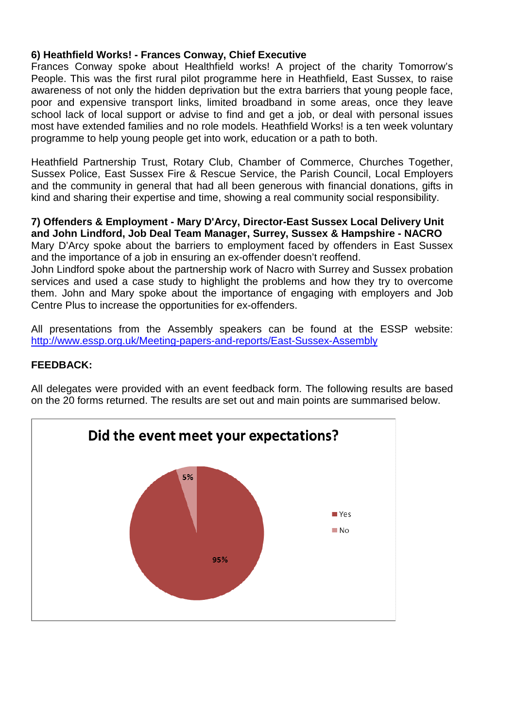## **6) Heathfield Works! - Frances Conway, Chief Executive**

Frances Conway spoke about Healthfield works! A project of the charity Tomorrow's People. This was the first rural pilot programme here in Heathfield, East Sussex, to raise awareness of not only the hidden deprivation but the extra barriers that young people face, poor and expensive transport links, limited broadband in some areas, once they leave school lack of local support or advise to find and get a job, or deal with personal issues most have extended families and no role models. Heathfield Works! is a ten week voluntary programme to help young people get into work, education or a path to both.

Heathfield Partnership Trust, Rotary Club, Chamber of Commerce, Churches Together, Sussex Police, East Sussex Fire & Rescue Service, the Parish Council, Local Employers and the community in general that had all been generous with financial donations, gifts in kind and sharing their expertise and time, showing a real community social responsibility.

## **7) Offenders & Employment - Mary D'Arcy, Director-East Sussex Local Delivery Unit and John Lindford, Job Deal Team Manager, Surrey, Sussex & Hampshire - NACRO**

Mary D'Arcy spoke about the barriers to employment faced by offenders in East Sussex and the importance of a job in ensuring an ex-offender doesn't reoffend.

John Lindford spoke about the partnership work of Nacro with Surrey and Sussex probation services and used a case study to highlight the problems and how they try to overcome them. John and Mary spoke about the importance of engaging with employers and Job Centre Plus to increase the opportunities for ex-offenders.

All presentations from the Assembly speakers can be found at the ESSP website: http://www.essp.org.uk/Meeting-papers-and-reports/East-Sussex-Assembly

## **FEEDBACK:**

All delegates were provided with an event feedback form. The following results are based on the 20 forms returned. The results are set out and main points are summarised below.

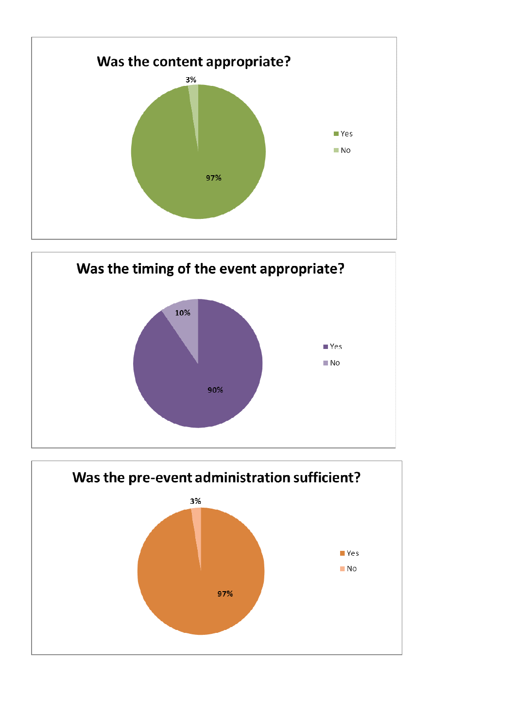



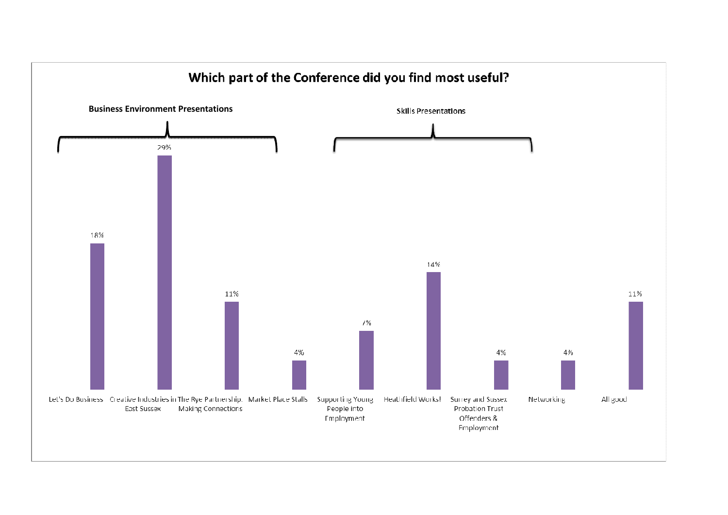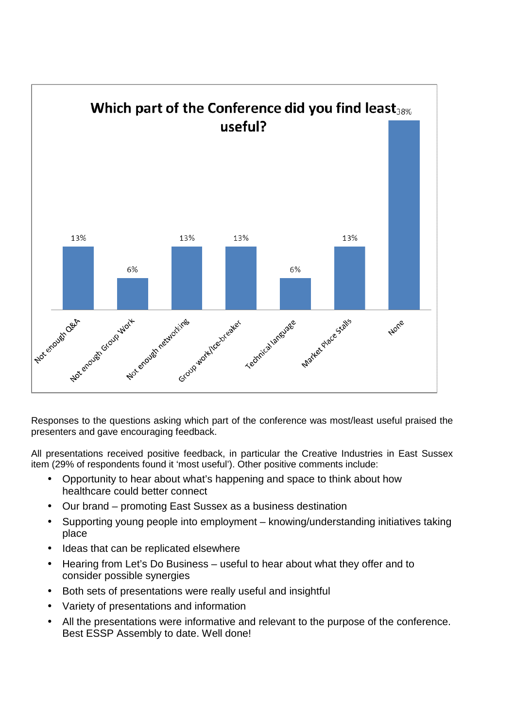

Responses to the questions asking which part of the conference was most/least useful praised the presenters and gave encouraging feedback.

All presentations received positive feedback, in particular the Creative Industries in East Sussex item (29% of respondents found it 'most useful'). Other positive comments include:

- Opportunity to hear about what's happening and space to think about how healthcare could better connect
- Our brand promoting East Sussex as a business destination
- Supporting young people into employment knowing/understanding initiatives taking place
- Ideas that can be replicated elsewhere
- Hearing from Let's Do Business useful to hear about what they offer and to consider possible synergies
- Both sets of presentations were really useful and insightful
- Variety of presentations and information
- All the presentations were informative and relevant to the purpose of the conference. Best ESSP Assembly to date. Well done!